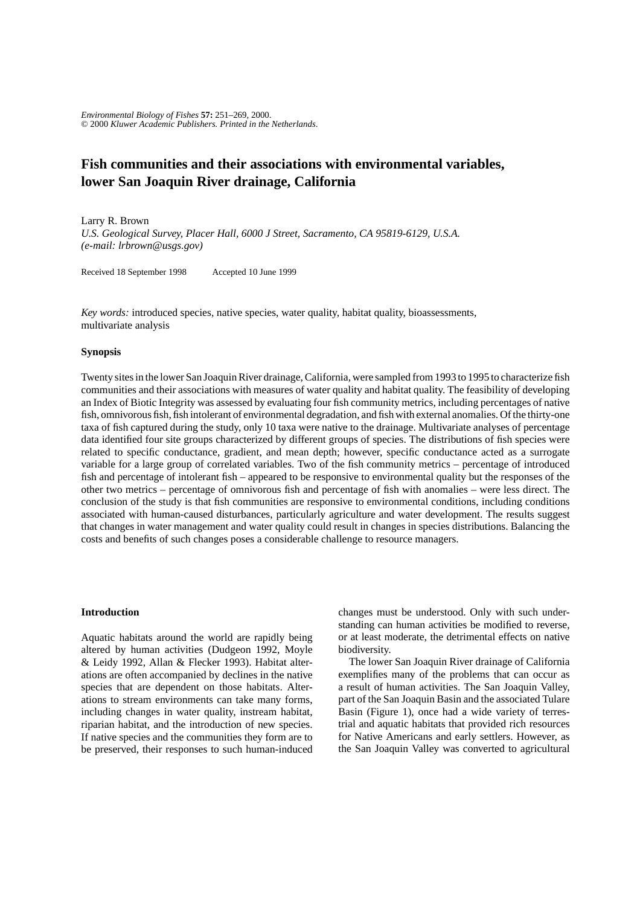*Environmental Biology of Fishes* **57:** 251–269, 2000. © 2000 *Kluwer Academic Publishers. Printed in the Netherlands*.

# **Fish communities and their associations with environmental variables, lower San Joaquin River drainage, California**

Larry R. Brown

*U.S. Geological Survey, Placer Hall, 6000 J Street, Sacramento, CA 95819-6129, U.S.A. (e-mail: lrbrown@usgs.gov)*

Received 18 September 1998 Accepted 10 June 1999

*Key words:* introduced species, native species, water quality, habitat quality, bioassessments, multivariate analysis

### **Synopsis**

Twenty sites in the lower San Joaquin River drainage, California, were sampled from 1993 to 1995 to characterize fish communities and their associations with measures of water quality and habitat quality. The feasibility of developing an Index of Biotic Integrity was assessed by evaluating four fish community metrics, including percentages of native fish, omnivorous fish, fish intolerant of environmental degradation, and fish with external anomalies. Of the thirty-one taxa of fish captured during the study, only 10 taxa were native to the drainage. Multivariate analyses of percentage data identified four site groups characterized by different groups of species. The distributions of fish species were related to specific conductance, gradient, and mean depth; however, specific conductance acted as a surrogate variable for a large group of correlated variables. Two of the fish community metrics – percentage of introduced fish and percentage of intolerant fish – appeared to be responsive to environmental quality but the responses of the other two metrics – percentage of omnivorous fish and percentage of fish with anomalies – were less direct. The conclusion of the study is that fish communities are responsive to environmental conditions, including conditions associated with human-caused disturbances, particularly agriculture and water development. The results suggest that changes in water management and water quality could result in changes in species distributions. Balancing the costs and benefits of such changes poses a considerable challenge to resource managers.

## **Introduction**

Aquatic habitats around the world are rapidly being altered by human activities (Dudgeon 1992, Moyle & Leidy 1992, Allan & Flecker 1993). Habitat alterations are often accompanied by declines in the native species that are dependent on those habitats. Alterations to stream environments can take many forms, including changes in water quality, instream habitat, riparian habitat, and the introduction of new species. If native species and the communities they form are to be preserved, their responses to such human-induced changes must be understood. Only with such understanding can human activities be modified to reverse, or at least moderate, the detrimental effects on native biodiversity.

The lower San Joaquin River drainage of California exemplifies many of the problems that can occur as a result of human activities. The San Joaquin Valley, part of the San Joaquin Basin and the associated Tulare Basin (Figure 1), once had a wide variety of terrestrial and aquatic habitats that provided rich resources for Native Americans and early settlers. However, as the San Joaquin Valley was converted to agricultural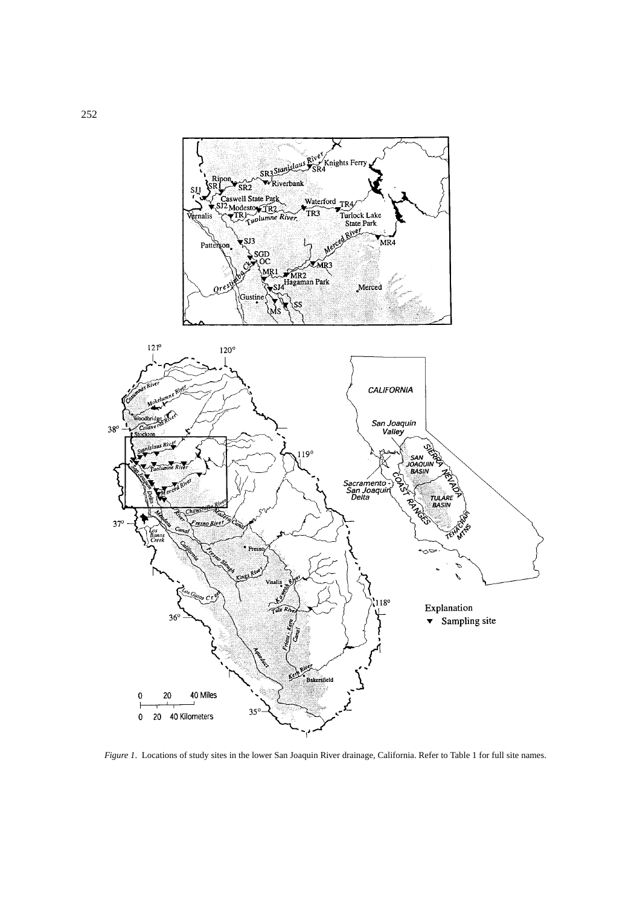

*Figure 1*. Locations of study sites in the lower San Joaquin River drainage, California. Refer to Table 1 for full site names.

252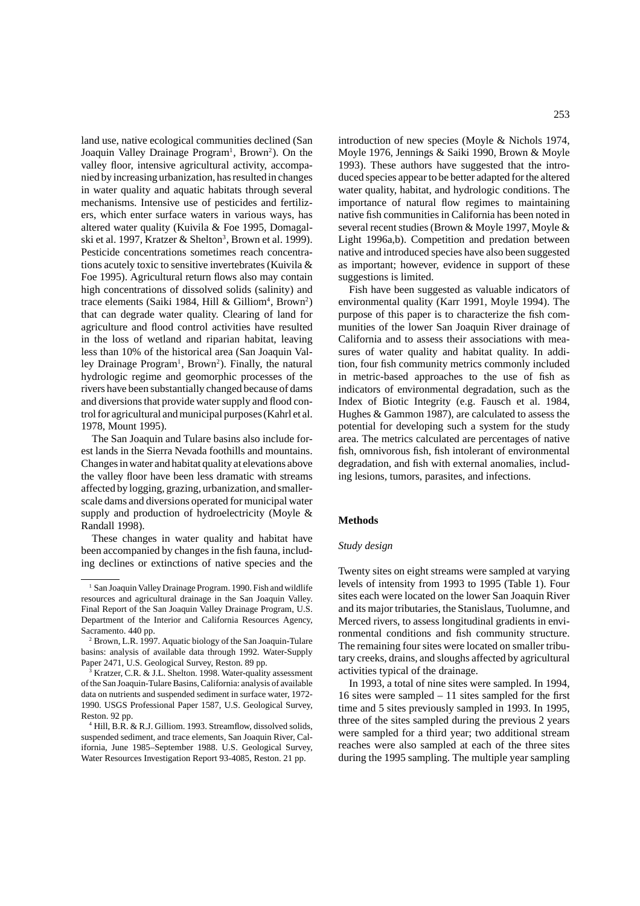land use, native ecological communities declined (San Joaquin Valley Drainage Program<sup>1</sup>, Brown<sup>2</sup>). On the valley floor, intensive agricultural activity, accompanied by increasing urbanization, has resulted in changes in water quality and aquatic habitats through several mechanisms. Intensive use of pesticides and fertilizers, which enter surface waters in various ways, has altered water quality (Kuivila & Foe 1995, Domagalski et al. 1997, Kratzer & Shelton<sup>3</sup>, Brown et al. 1999). Pesticide concentrations sometimes reach concentrations acutely toxic to sensitive invertebrates (Kuivila & Foe 1995). Agricultural return flows also may contain high concentrations of dissolved solids (salinity) and trace elements (Saiki 1984, Hill & Gilliom<sup>4</sup>, Brown<sup>2</sup>) that can degrade water quality. Clearing of land for agriculture and flood control activities have resulted in the loss of wetland and riparian habitat, leaving less than 10% of the historical area (San Joaquin Valley Drainage Program<sup>1</sup>, Brown<sup>2</sup>). Finally, the natural hydrologic regime and geomorphic processes of the rivers have been substantially changed because of dams and diversions that provide water supply and flood control for agricultural and municipal purposes (Kahrl et al. 1978, Mount 1995).

The San Joaquin and Tulare basins also include forest lands in the Sierra Nevada foothills and mountains. Changes in water and habitat quality at elevations above the valley floor have been less dramatic with streams affected by logging, grazing, urbanization, and smallerscale dams and diversions operated for municipal water supply and production of hydroelectricity (Moyle & Randall 1998).

These changes in water quality and habitat have been accompanied by changes in the fish fauna, including declines or extinctions of native species and the introduction of new species (Moyle & Nichols 1974, Moyle 1976, Jennings & Saiki 1990, Brown & Moyle 1993). These authors have suggested that the introduced species appear to be better adapted for the altered water quality, habitat, and hydrologic conditions. The importance of natural flow regimes to maintaining native fish communities in California has been noted in several recent studies (Brown & Moyle 1997, Moyle & Light 1996a,b). Competition and predation between native and introduced species have also been suggested as important; however, evidence in support of these suggestions is limited.

Fish have been suggested as valuable indicators of environmental quality (Karr 1991, Moyle 1994). The purpose of this paper is to characterize the fish communities of the lower San Joaquin River drainage of California and to assess their associations with measures of water quality and habitat quality. In addition, four fish community metrics commonly included in metric-based approaches to the use of fish as indicators of environmental degradation, such as the Index of Biotic Integrity (e.g. Fausch et al. 1984, Hughes & Gammon 1987), are calculated to assess the potential for developing such a system for the study area. The metrics calculated are percentages of native fish, omnivorous fish, fish intolerant of environmental degradation, and fish with external anomalies, including lesions, tumors, parasites, and infections.

## **Methods**

#### *Study design*

Twenty sites on eight streams were sampled at varying levels of intensity from 1993 to 1995 (Table 1). Four sites each were located on the lower San Joaquin River and its major tributaries, the Stanislaus, Tuolumne, and Merced rivers, to assess longitudinal gradients in environmental conditions and fish community structure. The remaining four sites were located on smaller tributary creeks, drains, and sloughs affected by agricultural activities typical of the drainage.

In 1993, a total of nine sites were sampled. In 1994, 16 sites were sampled – 11 sites sampled for the first time and 5 sites previously sampled in 1993. In 1995, three of the sites sampled during the previous 2 years were sampled for a third year; two additional stream reaches were also sampled at each of the three sites during the 1995 sampling. The multiple year sampling

<sup>&</sup>lt;sup>1</sup> San Joaquin Valley Drainage Program. 1990. Fish and wildlife resources and agricultural drainage in the San Joaquin Valley. Final Report of the San Joaquin Valley Drainage Program, U.S. Department of the Interior and California Resources Agency, Sacramento. 440 pp.

<sup>&</sup>lt;sup>2</sup> Brown, L.R. 1997. Aquatic biology of the San Joaquin-Tulare basins: analysis of available data through 1992. Water-Supply Paper 2471, U.S. Geological Survey, Reston. 89 pp.

Kratzer, C.R. & J.L. Shelton. 1998. Water-quality assessment of the San Joaquin-Tulare Basins, California: analysis of available data on nutrients and suspended sediment in surface water, 1972- 1990. USGS Professional Paper 1587, U.S. Geological Survey, Reston. 92 pp.

<sup>4</sup> Hill, B.R. & R.J. Gilliom. 1993. Streamflow, dissolved solids, suspended sediment, and trace elements, San Joaquin River, California, June 1985–September 1988. U.S. Geological Survey, Water Resources Investigation Report 93-4085, Reston. 21 pp.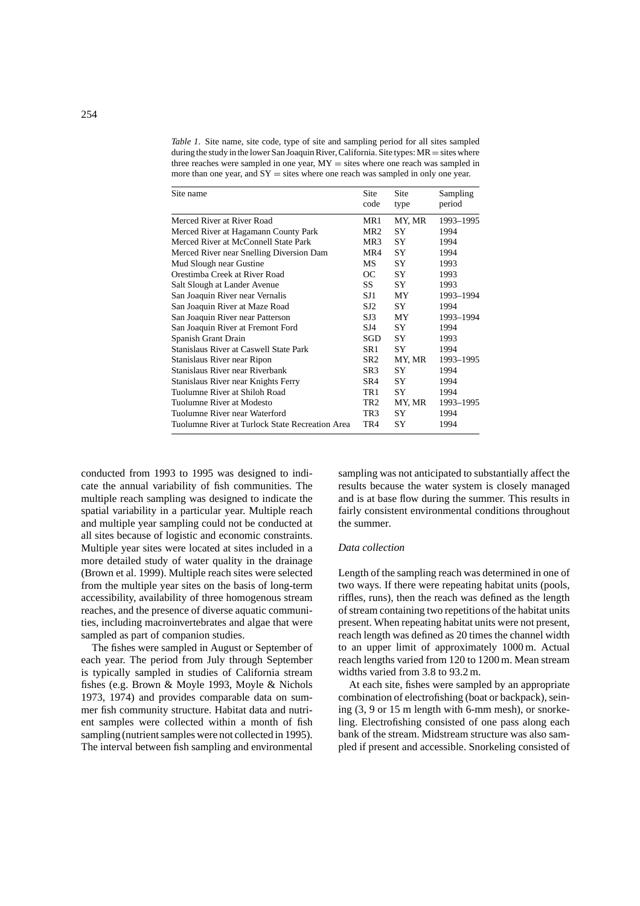*Table 1*. Site name, site code, type of site and sampling period for all sites sampled during the study in the lower San Joaquin River, California. Site types:  $MR =$ sites where three reaches were sampled in one year,  $MY$  = sites where one reach was sampled in more than one year, and  $SY =$  sites where one reach was sampled in only one year.

| Site name                                       | Site<br>code    | Site<br>type | Sampling<br>period |
|-------------------------------------------------|-----------------|--------------|--------------------|
| Merced River at River Road                      | MR1             | MY, MR       | 1993-1995          |
| Merced River at Hagamann County Park            | MR <sub>2</sub> | SY           | 1994               |
| Merced River at McConnell State Park            | MR3             | SY           | 1994               |
| Merced River near Snelling Diversion Dam        | MR4             | SY           | 1994               |
| Mud Slough near Gustine                         | MS              | SY           | 1993               |
| Orestimba Creek at River Road                   | OС              | SY           | 1993               |
| Salt Slough at Lander Avenue                    | SS              | SY           | 1993               |
| San Joaquin River near Vernalis                 | SJ1             | МY           | 1993-1994          |
| San Joaquin River at Maze Road                  | SJ <sub>2</sub> | SY           | 1994               |
| San Joaquin River near Patterson                | SJ3             | MY           | 1993-1994          |
| San Joaquin River at Fremont Ford               | SJ4             | SY           | 1994               |
| Spanish Grant Drain                             | SGD             | SY           | 1993               |
| Stanislaus River at Caswell State Park          | SR1             | SY           | 1994               |
| Stanislaus River near Ripon                     | SR2             | MY, MR       | 1993-1995          |
| Stanislaus River near Riverbank                 | SR <sub>3</sub> | SY           | 1994               |
| Stanislaus River near Knights Ferry             | SR4             | SY           | 1994               |
| Tuolumne River at Shiloh Road                   | TR1             | SY           | 1994               |
| Tuolumne River at Modesto                       | TR <sub>2</sub> | MY, MR       | 1993-1995          |
| Tuolumne River near Waterford                   | TR <sub>3</sub> | SY           | 1994               |
| Tuolumne River at Turlock State Recreation Area | TR4             | SY           | 1994               |

conducted from 1993 to 1995 was designed to indicate the annual variability of fish communities. The multiple reach sampling was designed to indicate the spatial variability in a particular year. Multiple reach and multiple year sampling could not be conducted at all sites because of logistic and economic constraints. Multiple year sites were located at sites included in a more detailed study of water quality in the drainage (Brown et al. 1999). Multiple reach sites were selected from the multiple year sites on the basis of long-term accessibility, availability of three homogenous stream reaches, and the presence of diverse aquatic communities, including macroinvertebrates and algae that were sampled as part of companion studies.

The fishes were sampled in August or September of each year. The period from July through September is typically sampled in studies of California stream fishes (e.g. Brown & Moyle 1993, Moyle & Nichols 1973, 1974) and provides comparable data on summer fish community structure. Habitat data and nutrient samples were collected within a month of fish sampling (nutrient samples were not collected in 1995). The interval between fish sampling and environmental

sampling was not anticipated to substantially affect the results because the water system is closely managed and is at base flow during the summer. This results in fairly consistent environmental conditions throughout the summer.

## *Data collection*

Length of the sampling reach was determined in one of two ways. If there were repeating habitat units (pools, riffles, runs), then the reach was defined as the length of stream containing two repetitions of the habitat units present. When repeating habitat units were not present, reach length was defined as 20 times the channel width to an upper limit of approximately 1000 m. Actual reach lengths varied from 120 to 1200 m. Mean stream widths varied from 3.8 to 93.2 m.

At each site, fishes were sampled by an appropriate combination of electrofishing (boat or backpack), seining (3, 9 or 15 m length with 6-mm mesh), or snorkeling. Electrofishing consisted of one pass along each bank of the stream. Midstream structure was also sampled if present and accessible. Snorkeling consisted of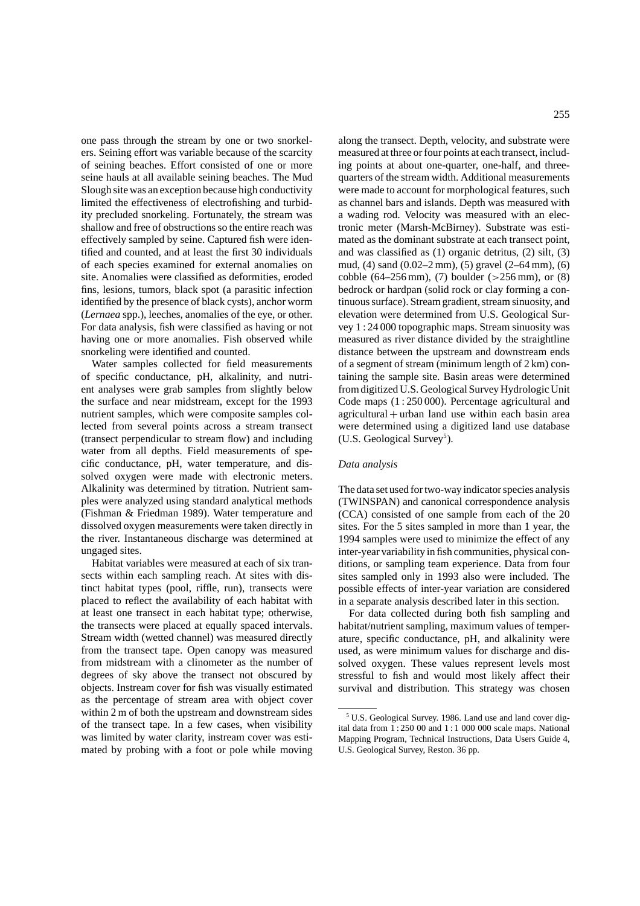one pass through the stream by one or two snorkelers. Seining effort was variable because of the scarcity of seining beaches. Effort consisted of one or more seine hauls at all available seining beaches. The Mud Slough site was an exception because high conductivity limited the effectiveness of electrofishing and turbidity precluded snorkeling. Fortunately, the stream was shallow and free of obstructions so the entire reach was effectively sampled by seine. Captured fish were identified and counted, and at least the first 30 individuals of each species examined for external anomalies on site. Anomalies were classified as deformities, eroded fins, lesions, tumors, black spot (a parasitic infection identified by the presence of black cysts), anchor worm (*Lernaea* spp.), leeches, anomalies of the eye, or other. For data analysis, fish were classified as having or not having one or more anomalies. Fish observed while snorkeling were identified and counted.

Water samples collected for field measurements of specific conductance, pH, alkalinity, and nutrient analyses were grab samples from slightly below the surface and near midstream, except for the 1993 nutrient samples, which were composite samples collected from several points across a stream transect (transect perpendicular to stream flow) and including water from all depths. Field measurements of specific conductance, pH, water temperature, and dissolved oxygen were made with electronic meters. Alkalinity was determined by titration. Nutrient samples were analyzed using standard analytical methods (Fishman & Friedman 1989). Water temperature and dissolved oxygen measurements were taken directly in the river. Instantaneous discharge was determined at ungaged sites.

Habitat variables were measured at each of six transects within each sampling reach. At sites with distinct habitat types (pool, riffle, run), transects were placed to reflect the availability of each habitat with at least one transect in each habitat type; otherwise, the transects were placed at equally spaced intervals. Stream width (wetted channel) was measured directly from the transect tape. Open canopy was measured from midstream with a clinometer as the number of degrees of sky above the transect not obscured by objects. Instream cover for fish was visually estimated as the percentage of stream area with object cover within 2 m of both the upstream and downstream sides of the transect tape. In a few cases, when visibility was limited by water clarity, instream cover was estimated by probing with a foot or pole while moving

along the transect. Depth, velocity, and substrate were measured at three or four points at each transect, including points at about one-quarter, one-half, and threequarters of the stream width. Additional measurements were made to account for morphological features, such as channel bars and islands. Depth was measured with a wading rod. Velocity was measured with an electronic meter (Marsh-McBirney). Substrate was estimated as the dominant substrate at each transect point, and was classified as (1) organic detritus, (2) silt, (3) mud, (4) sand (0.02–2 mm), (5) gravel (2–64 mm), (6) cobble (64–256 mm), (7) boulder ( $>$ 256 mm), or (8) bedrock or hardpan (solid rock or clay forming a continuous surface). Stream gradient, stream sinuosity, and elevation were determined from U.S. Geological Survey 1 : 24 000 topographic maps. Stream sinuosity was measured as river distance divided by the straightline distance between the upstream and downstream ends of a segment of stream (minimum length of 2 km) containing the sample site. Basin areas were determined from digitized U.S. Geological Survey Hydrologic Unit Code maps (1 : 250 000). Percentage agricultural and  $a$ gricultural  $+$  urban land use within each basin area were determined using a digitized land use database (U.S. Geological Survey<sup>5</sup>).

## *Data analysis*

The data set used for two-way indicator species analysis (TWINSPAN) and canonical correspondence analysis (CCA) consisted of one sample from each of the 20 sites. For the 5 sites sampled in more than 1 year, the 1994 samples were used to minimize the effect of any inter-year variability in fish communities, physical conditions, or sampling team experience. Data from four sites sampled only in 1993 also were included. The possible effects of inter-year variation are considered in a separate analysis described later in this section.

For data collected during both fish sampling and habitat/nutrient sampling, maximum values of temperature, specific conductance, pH, and alkalinity were used, as were minimum values for discharge and dissolved oxygen. These values represent levels most stressful to fish and would most likely affect their survival and distribution. This strategy was chosen

<sup>5</sup> U.S. Geological Survey. 1986. Land use and land cover digital data from 1 : 250 00 and 1 : 1 000 000 scale maps. National Mapping Program, Technical Instructions, Data Users Guide 4, U.S. Geological Survey, Reston. 36 pp.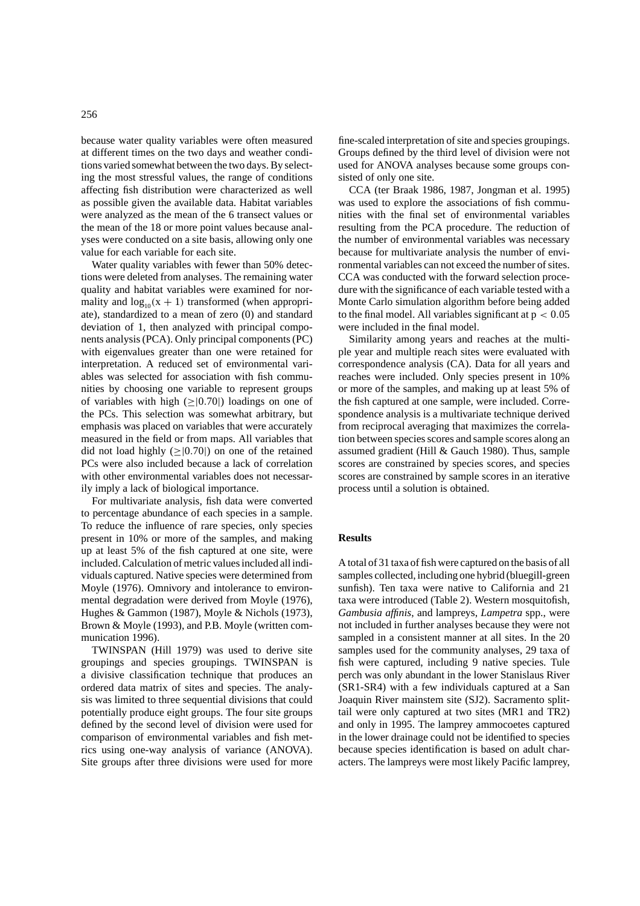because water quality variables were often measured at different times on the two days and weather conditions varied somewhat between the two days. By selecting the most stressful values, the range of conditions affecting fish distribution were characterized as well as possible given the available data. Habitat variables were analyzed as the mean of the 6 transect values or the mean of the 18 or more point values because analyses were conducted on a site basis, allowing only one value for each variable for each site.

Water quality variables with fewer than 50% detections were deleted from analyses. The remaining water quality and habitat variables were examined for normality and  $log_{10}(x + 1)$  transformed (when appropriate), standardized to a mean of zero (0) and standard deviation of 1, then analyzed with principal components analysis (PCA). Only principal components (PC) with eigenvalues greater than one were retained for interpretation. A reduced set of environmental variables was selected for association with fish communities by choosing one variable to represent groups of variables with high  $(\geq |0.70|)$  loadings on one of the PCs. This selection was somewhat arbitrary, but emphasis was placed on variables that were accurately measured in the field or from maps. All variables that did not load highly  $(>|0.70|)$  on one of the retained PCs were also included because a lack of correlation with other environmental variables does not necessarily imply a lack of biological importance.

For multivariate analysis, fish data were converted to percentage abundance of each species in a sample. To reduce the influence of rare species, only species present in 10% or more of the samples, and making up at least 5% of the fish captured at one site, were included. Calculation of metric values included all individuals captured. Native species were determined from Moyle (1976). Omnivory and intolerance to environmental degradation were derived from Moyle (1976), Hughes & Gammon (1987), Moyle & Nichols (1973), Brown & Moyle (1993), and P.B. Moyle (written communication 1996).

TWINSPAN (Hill 1979) was used to derive site groupings and species groupings. TWINSPAN is a divisive classification technique that produces an ordered data matrix of sites and species. The analysis was limited to three sequential divisions that could potentially produce eight groups. The four site groups defined by the second level of division were used for comparison of environmental variables and fish metrics using one-way analysis of variance (ANOVA). Site groups after three divisions were used for more fine-scaled interpretation of site and species groupings. Groups defined by the third level of division were not used for ANOVA analyses because some groups consisted of only one site.

CCA (ter Braak 1986, 1987, Jongman et al. 1995) was used to explore the associations of fish communities with the final set of environmental variables resulting from the PCA procedure. The reduction of the number of environmental variables was necessary because for multivariate analysis the number of environmental variables can not exceed the number of sites. CCA was conducted with the forward selection procedure with the significance of each variable tested with a Monte Carlo simulation algorithm before being added to the final model. All variables significant at  $p < 0.05$ were included in the final model.

Similarity among years and reaches at the multiple year and multiple reach sites were evaluated with correspondence analysis (CA). Data for all years and reaches were included. Only species present in 10% or more of the samples, and making up at least 5% of the fish captured at one sample, were included. Correspondence analysis is a multivariate technique derived from reciprocal averaging that maximizes the correlation between species scores and sample scores along an assumed gradient (Hill & Gauch 1980). Thus, sample scores are constrained by species scores, and species scores are constrained by sample scores in an iterative process until a solution is obtained.

## **Results**

A total of 31 taxa of fish were captured on the basis of all samples collected, including one hybrid (bluegill-green sunfish). Ten taxa were native to California and 21 taxa were introduced (Table 2). Western mosquitofish, *Gambusia affinis*, and lampreys, *Lampetra* spp., were not included in further analyses because they were not sampled in a consistent manner at all sites. In the 20 samples used for the community analyses, 29 taxa of fish were captured, including 9 native species. Tule perch was only abundant in the lower Stanislaus River (SR1-SR4) with a few individuals captured at a San Joaquin River mainstem site (SJ2). Sacramento splittail were only captured at two sites (MR1 and TR2) and only in 1995. The lamprey ammocoetes captured in the lower drainage could not be identified to species because species identification is based on adult characters. The lampreys were most likely Pacific lamprey,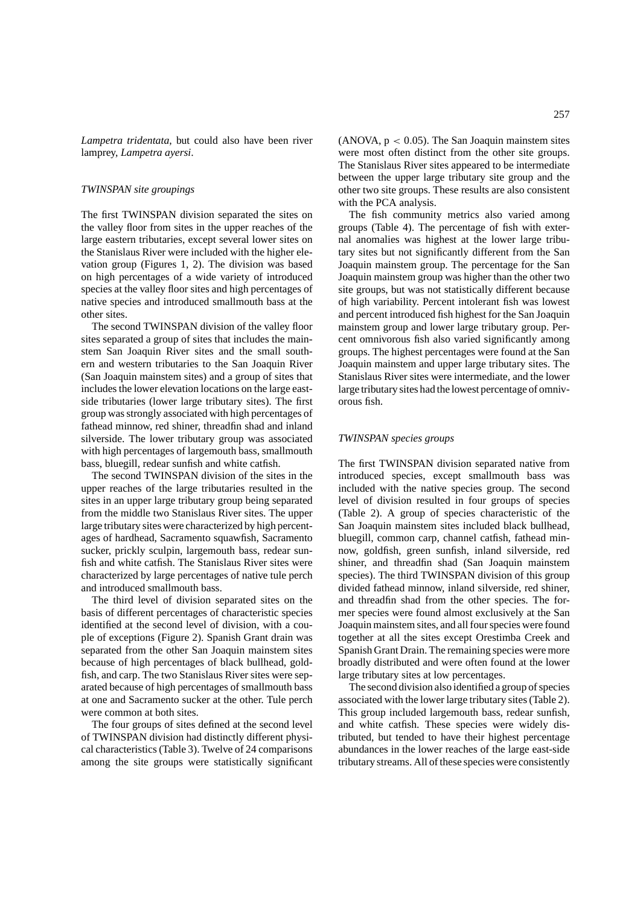*Lampetra tridentata*, but could also have been river lamprey, *Lampetra ayersi*.

## *TWINSPAN site groupings*

The first TWINSPAN division separated the sites on the valley floor from sites in the upper reaches of the large eastern tributaries, except several lower sites on the Stanislaus River were included with the higher elevation group (Figures 1, 2). The division was based on high percentages of a wide variety of introduced species at the valley floor sites and high percentages of native species and introduced smallmouth bass at the other sites.

The second TWINSPAN division of the valley floor sites separated a group of sites that includes the mainstem San Joaquin River sites and the small southern and western tributaries to the San Joaquin River (San Joaquin mainstem sites) and a group of sites that includes the lower elevation locations on the large eastside tributaries (lower large tributary sites). The first group was strongly associated with high percentages of fathead minnow, red shiner, threadfin shad and inland silverside. The lower tributary group was associated with high percentages of largemouth bass, smallmouth bass, bluegill, redear sunfish and white catfish.

The second TWINSPAN division of the sites in the upper reaches of the large tributaries resulted in the sites in an upper large tributary group being separated from the middle two Stanislaus River sites. The upper large tributary sites were characterized by high percentages of hardhead, Sacramento squawfish, Sacramento sucker, prickly sculpin, largemouth bass, redear sunfish and white catfish. The Stanislaus River sites were characterized by large percentages of native tule perch and introduced smallmouth bass.

The third level of division separated sites on the basis of different percentages of characteristic species identified at the second level of division, with a couple of exceptions (Figure 2). Spanish Grant drain was separated from the other San Joaquin mainstem sites because of high percentages of black bullhead, goldfish, and carp. The two Stanislaus River sites were separated because of high percentages of smallmouth bass at one and Sacramento sucker at the other. Tule perch were common at both sites.

The four groups of sites defined at the second level of TWINSPAN division had distinctly different physical characteristics (Table 3). Twelve of 24 comparisons among the site groups were statistically significant (ANOVA,  $p < 0.05$ ). The San Joaquin mainstem sites were most often distinct from the other site groups. The Stanislaus River sites appeared to be intermediate between the upper large tributary site group and the other two site groups. These results are also consistent with the PCA analysis.

The fish community metrics also varied among groups (Table 4). The percentage of fish with external anomalies was highest at the lower large tributary sites but not significantly different from the San Joaquin mainstem group. The percentage for the San Joaquin mainstem group was higher than the other two site groups, but was not statistically different because of high variability. Percent intolerant fish was lowest and percent introduced fish highest for the San Joaquin mainstem group and lower large tributary group. Percent omnivorous fish also varied significantly among groups. The highest percentages were found at the San Joaquin mainstem and upper large tributary sites. The Stanislaus River sites were intermediate, and the lower large tributary sites had the lowest percentage of omnivorous fish.

## *TWINSPAN species groups*

The first TWINSPAN division separated native from introduced species, except smallmouth bass was included with the native species group. The second level of division resulted in four groups of species (Table 2). A group of species characteristic of the San Joaquin mainstem sites included black bullhead, bluegill, common carp, channel catfish, fathead minnow, goldfish, green sunfish, inland silverside, red shiner, and threadfin shad (San Joaquin mainstem species). The third TWINSPAN division of this group divided fathead minnow, inland silverside, red shiner, and threadfin shad from the other species. The former species were found almost exclusively at the San Joaquin mainstem sites, and all four species were found together at all the sites except Orestimba Creek and Spanish Grant Drain. The remaining species were more broadly distributed and were often found at the lower large tributary sites at low percentages.

The second division also identified a group of species associated with the lower large tributary sites (Table 2). This group included largemouth bass, redear sunfish, and white catfish. These species were widely distributed, but tended to have their highest percentage abundances in the lower reaches of the large east-side tributary streams. All of these species were consistently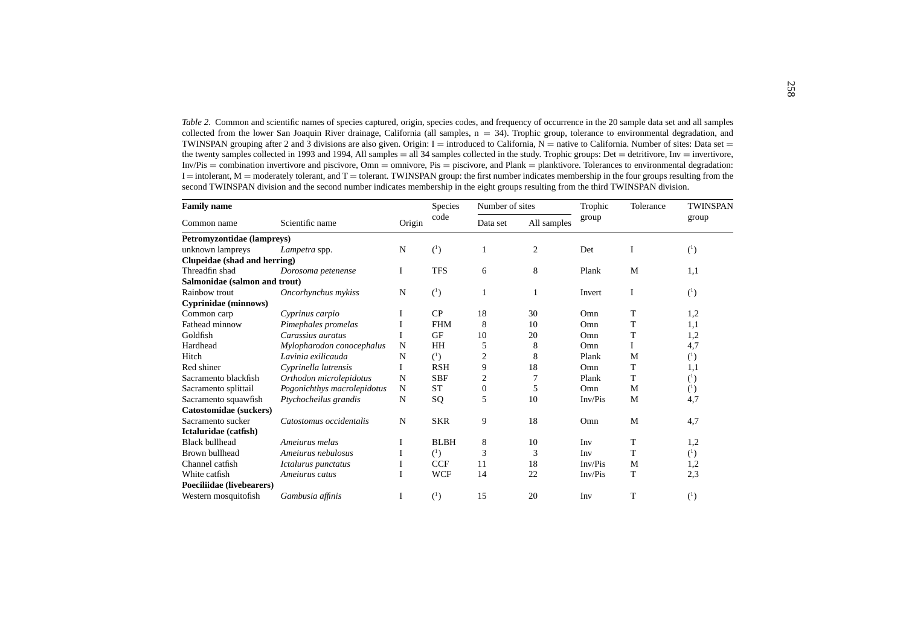*Table* 2. Common and scientific names of species captured, origin, species codes, and frequency of occurrence in the 20 sample data set and all samples collected from the lower San Joaquin River drainage, California (all samples,  $n = 34$ ). Trophic group, tolerance to environmental degradation, and TWINSPAN grouping after 2 and 3 divisions are also given. Origin:  $I =$  introduced to California, N = native to California. Number of sites: Data set = the twenty samples collected in 1993 and 1994, All samples = all 34 samples collected in the study. Trophic groups: Det = detritivore, Inv = invertivore, Inv/Pis <sup>=</sup> combination invertivore and piscivore, Omn <sup>=</sup> omnivore, Pis <sup>=</sup> piscivore, and Plank <sup>=</sup> planktivore. Tolerances to environmental degradation:  $I =$  intolerant,  $M =$  moderately tolerant, and  $T =$  tolerant. TWINSPAN group: the first number indicates membership in the four groups resulting from the second TWINSPAN division and the second number indicates membership in the eight groups resulting from the third TWINSPAN division.

| <b>Family name</b>            |                             |             | <b>Species</b><br>code | Number of sites |                | Trophic         | Tolerance | TWINSPAN       |
|-------------------------------|-----------------------------|-------------|------------------------|-----------------|----------------|-----------------|-----------|----------------|
| Common name                   | Scientific name             | Origin      |                        | Data set        | All samples    | group           |           | group          |
| Petromyzontidae (lampreys)    |                             |             |                        |                 |                |                 |           |                |
| unknown lampreys              | Lampetra spp.               | $\mathbf N$ | $(^{1})$               | 1               | $\overline{2}$ | Det             | I         | $\binom{1}{1}$ |
| Clupeidae (shad and herring)  |                             |             |                        |                 |                |                 |           |                |
| Threadfin shad                | Dorosoma petenense          | 1           | <b>TFS</b>             | 6               | 8              | Plank           | M         | 1,1            |
| Salmonidae (salmon and trout) |                             |             |                        |                 |                |                 |           |                |
| Rainbow trout                 | Oncorhynchus mykiss         | N           | $(^{1})$               | 1               | 1              | Invert          | I         | $(^{1})$       |
| Cyprinidae (minnows)          |                             |             |                        |                 |                |                 |           |                |
| Common carp                   | Cyprinus carpio             |             | CP                     | 18              | 30             | O <sub>mn</sub> | T         | 1,2            |
| Fathead minnow                | Pimephales promelas         |             | <b>FHM</b>             | 8               | 10             | Omn             | T         | 1,1            |
| Goldfish                      | Carassius auratus           | I           | <b>GF</b>              | 10              | 20             | Omn             | T         | 1,2            |
| Hardhead                      | Mylopharodon conocephalus   | N           | <b>HH</b>              | 5               | 8              | Omn             |           | 4,7            |
| Hitch                         | Lavinia exilicauda          | N           | $(^{1})$               | 2               | 8              | Plank           | M         | $(^{1})$       |
| Red shiner                    | Cyprinella lutrensis        | I           | <b>RSH</b>             | 9               | 18             | Omn             | T         | 1,1            |
| Sacramento blackfish          | Orthodon microlepidotus     | N           | <b>SBF</b>             | 2               | 7              | Plank           | T         | $(^{1})$       |
| Sacramento splittail          | Pogonichthys macrolepidotus | N           | <b>ST</b>              | $\mathbf{0}$    | 5              | Omn             | M         | $(^{1})$       |
| Sacramento squawfish          | Ptychocheilus grandis       | N           | SQ                     | 5               | 10             | Inv/Pis         | M         | 4,7            |
| Catostomidae (suckers)        |                             |             |                        |                 |                |                 |           |                |
| Sacramento sucker             | Catostomus occidentalis     | N           | <b>SKR</b>             | 9               | 18             | Omn             | M         | 4,7            |
| Ictaluridae (catfish)         |                             |             |                        |                 |                |                 |           |                |
| <b>Black bullhead</b>         | Ameiurus melas              | I           | <b>BLBH</b>            | 8               | 10             | Inv             | T         | 1,2            |
| Brown bullhead                | Ameiurus nebulosus          | I           | $(^{1})$               | 3               | 3              | Inv             | T         | $(^{1})$       |
| Channel catfish               | Ictalurus punctatus         | I           | <b>CCF</b>             | 11              | 18             | Inv/Pis         | M         | 1,2            |
| White catfish                 | Ameiurus catus              |             | WCF                    | 14              | 22             | Inv/Pis         | T         | 2,3            |
| Poeciliidae (livebearers)     |                             |             |                        |                 |                |                 |           |                |
| Western mosquitofish          | Gambusia affinis            | 1           | $(^{1})$               | 15              | 20             | Inv             | T         | $(^{1})$       |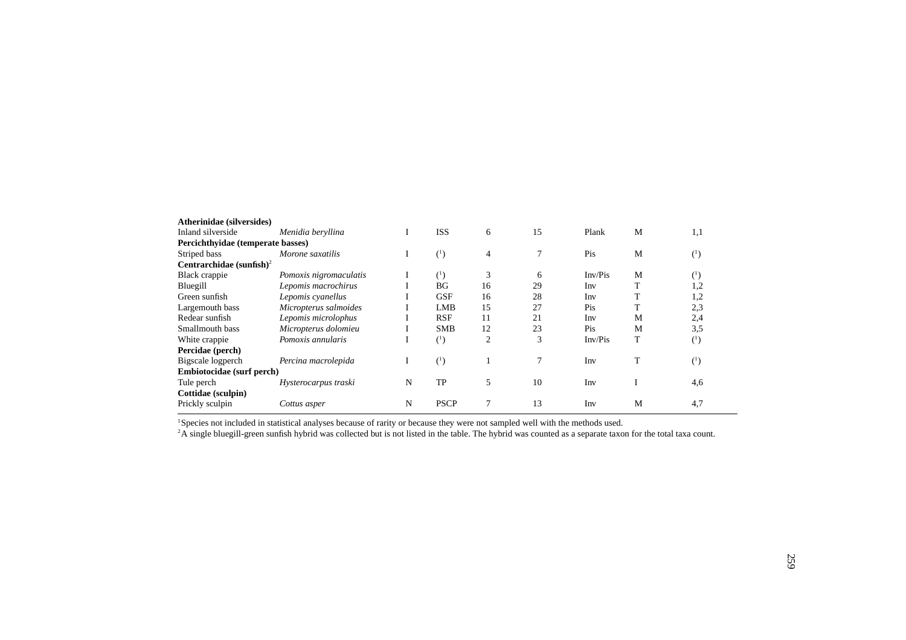| Atherinidae (silversides)            |                        |   |             |                |    |         |   |          |
|--------------------------------------|------------------------|---|-------------|----------------|----|---------|---|----------|
| Inland silverside                    | Menidia beryllina      |   | <b>ISS</b>  | 6              | 15 | Plank   | M | 1,1      |
| Percichthyidae (temperate basses)    |                        |   |             |                |    |         |   |          |
| Striped bass                         | Morone saxatilis       |   | $(^{1})$    | 4              | 7  | Pis     | M | $(^{1})$ |
| Centrarchidae (sunfish) <sup>2</sup> |                        |   |             |                |    |         |   |          |
| Black crappie                        | Pomoxis nigromaculatis |   | $(^{1})$    | 3              | 6  | Inv/Pis | M | $(^{1})$ |
| Bluegill                             | Lepomis macrochirus    |   | BG          | 16             | 29 | Inv     | T | 1,2      |
| Green sunfish                        | Lepomis cyanellus      |   | <b>GSF</b>  | 16             | 28 | Inv     | T | 1,2      |
| Largemouth bass                      | Micropterus salmoides  |   | <b>LMB</b>  | 15             | 27 | Pis     | T | 2,3      |
| Redear sunfish                       | Lepomis microlophus    |   | <b>RSF</b>  | 11             | 21 | Inv     | M | 2,4      |
| Smallmouth bass                      | Micropterus dolomieu   |   | <b>SMB</b>  | 12             | 23 | Pis     | M | 3,5      |
| White crappie                        | Pomoxis annularis      |   | $(^{1})$    | $\overline{2}$ | 3  | Inv/Pis | T | $(^{1})$ |
| Percidae (perch)                     |                        |   |             |                |    |         |   |          |
| Bigscale logperch                    | Percina macrolepida    |   | $(^{1})$    |                | 7  | Inv     | T | $(^{1})$ |
| Embiotocidae (surf perch)            |                        |   |             |                |    |         |   |          |
| Tule perch                           | Hysterocarpus traski   | N | TP          | 5              | 10 | Inv     |   | 4,6      |
| Cottidae (sculpin)                   |                        |   |             |                |    |         |   |          |
| Prickly sculpin                      | Cottus asper           | N | <b>PSCP</b> |                | 13 | Inv     | M | 4,7      |

1Species not included in statistical analyses because of rarity or because they were not sampled well with the methods used.

<sup>2</sup>A single bluegill-green sunfish hybrid was collected but is not listed in the table. The hybrid was counted as a separate taxon for the total taxa count.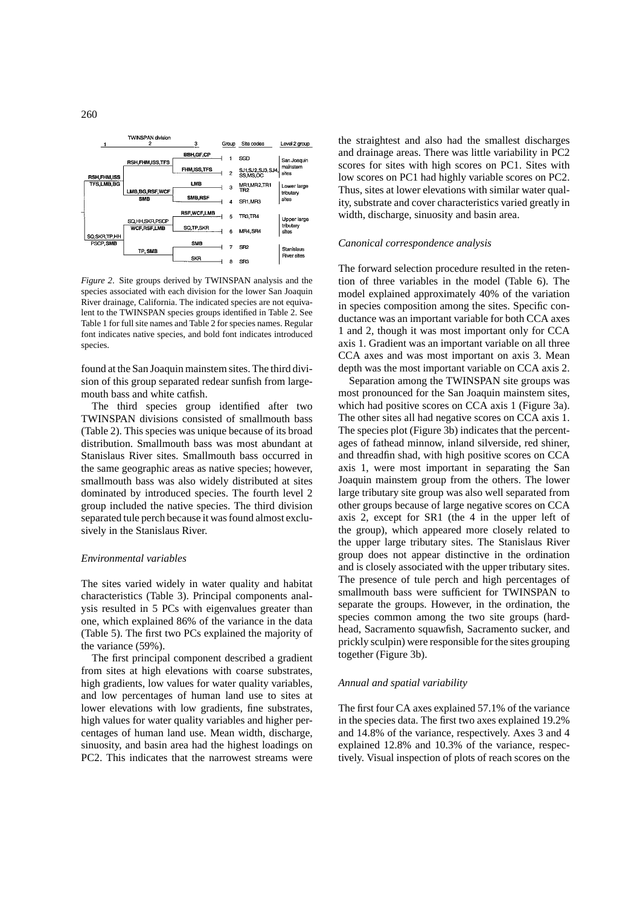

*Figure 2*. Site groups derived by TWINSPAN analysis and the species associated with each division for the lower San Joaquin River drainage, California. The indicated species are not equivalent to the TWINSPAN species groups identified in Table 2. See Table 1 for full site names and Table 2 for species names. Regular font indicates native species, and bold font indicates introduced species.

found at the San Joaquin mainstem sites. The third division of this group separated redear sunfish from largemouth bass and white catfish.

The third species group identified after two TWINSPAN divisions consisted of smallmouth bass (Table 2). This species was unique because of its broad distribution. Smallmouth bass was most abundant at Stanislaus River sites. Smallmouth bass occurred in the same geographic areas as native species; however, smallmouth bass was also widely distributed at sites dominated by introduced species. The fourth level 2 group included the native species. The third division separated tule perch because it was found almost exclusively in the Stanislaus River.

#### *Environmental variables*

The sites varied widely in water quality and habitat characteristics (Table 3). Principal components analysis resulted in 5 PCs with eigenvalues greater than one, which explained 86% of the variance in the data (Table 5). The first two PCs explained the majority of the variance (59%).

The first principal component described a gradient from sites at high elevations with coarse substrates, high gradients, low values for water quality variables, and low percentages of human land use to sites at lower elevations with low gradients, fine substrates, high values for water quality variables and higher percentages of human land use. Mean width, discharge, sinuosity, and basin area had the highest loadings on PC2. This indicates that the narrowest streams were the straightest and also had the smallest discharges and drainage areas. There was little variability in PC2 scores for sites with high scores on PC1. Sites with low scores on PC1 had highly variable scores on PC2. Thus, sites at lower elevations with similar water quality, substrate and cover characteristics varied greatly in width, discharge, sinuosity and basin area.

#### *Canonical correspondence analysis*

The forward selection procedure resulted in the retention of three variables in the model (Table 6). The model explained approximately 40% of the variation in species composition among the sites. Specific conductance was an important variable for both CCA axes 1 and 2, though it was most important only for CCA axis 1. Gradient was an important variable on all three CCA axes and was most important on axis 3. Mean depth was the most important variable on CCA axis 2.

Separation among the TWINSPAN site groups was most pronounced for the San Joaquin mainstem sites, which had positive scores on CCA axis 1 (Figure 3a). The other sites all had negative scores on CCA axis 1. The species plot (Figure 3b) indicates that the percentages of fathead minnow, inland silverside, red shiner, and threadfin shad, with high positive scores on CCA axis 1, were most important in separating the San Joaquin mainstem group from the others. The lower large tributary site group was also well separated from other groups because of large negative scores on CCA axis 2, except for SR1 (the 4 in the upper left of the group), which appeared more closely related to the upper large tributary sites. The Stanislaus River group does not appear distinctive in the ordination and is closely associated with the upper tributary sites. The presence of tule perch and high percentages of smallmouth bass were sufficient for TWINSPAN to separate the groups. However, in the ordination, the species common among the two site groups (hardhead, Sacramento squawfish, Sacramento sucker, and prickly sculpin) were responsible for the sites grouping together (Figure 3b).

## *Annual and spatial variability*

The first four CA axes explained 57.1% of the variance in the species data. The first two axes explained 19.2% and 14.8% of the variance, respectively. Axes 3 and 4 explained 12.8% and 10.3% of the variance, respectively. Visual inspection of plots of reach scores on the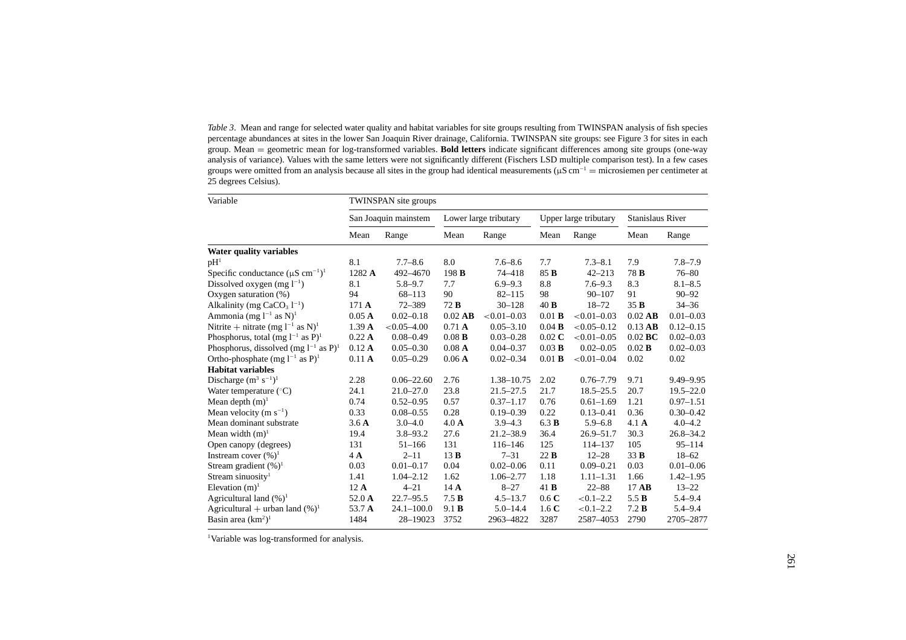*Table 3*. Mean and range for selected water quality and habitat variables for site groups resulting from TWINSPAN analysis of fish species percentage abundances at sites in the lower San Joaquin River drainage, California. TWINSPAN site groups: see Figure 3 for sites in each group. Mean <sup>=</sup> geometric mean for log-transformed variables. **Bold letters** indicate significant differences among site groups (one-way analysis of variance). Values with the same letters were not significantly different (Fischers LSD multiple comparison test). In <sup>a</sup> few cases groups were omitted from an analysis because all sites in the group had identical measurements ( $\mu$ S cm<sup>-1</sup> = microsiemen per centimeter at 25 degrees Celsius).

| Variable                                              | <b>TWINSPAN</b> site groups |                 |                       |                 |                       |                 |                         |               |  |
|-------------------------------------------------------|-----------------------------|-----------------|-----------------------|-----------------|-----------------------|-----------------|-------------------------|---------------|--|
|                                                       | San Joaquin mainstem        |                 | Lower large tributary |                 | Upper large tributary |                 | <b>Stanislaus River</b> |               |  |
|                                                       | Mean                        | Range           | Mean                  | Range           | Mean                  | Range           | Mean                    | Range         |  |
| Water quality variables                               |                             |                 |                       |                 |                       |                 |                         |               |  |
| pH <sup>1</sup>                                       | 8.1                         | $7.7 - 8.6$     | 8.0                   | $7.6 - 8.6$     | 7.7                   | $7.3 - 8.1$     | 7.9                     | $7.8 - 7.9$   |  |
| Specific conductance $(\mu S \text{ cm}^{-1})^1$      | 1282 A                      | 492-4670        | 198 <b>B</b>          | 74-418          | 85 B                  | $42 - 213$      | 78 B                    | $76 - 80$     |  |
| Dissolved oxygen (mg $l^{-1}$ )                       | 8.1                         | $5.8 - 9.7$     | 7.7                   | $6.9 - 9.3$     | 8.8                   | $7.6 - 9.3$     | 8.3                     | $8.1 - 8.5$   |  |
| Oxygen saturation $(\%)$                              | 94                          | $68 - 113$      | 90                    | $82 - 115$      | 98                    | $90 - 107$      | 91                      | $90 - 92$     |  |
| Alkalinity (mg $CaCO3 1-1$ )                          | $171 \text{ A}$             | $72 - 389$      | 72 B                  | $30 - 128$      | 40B                   | $18 - 72$       | 35B                     | $34 - 36$     |  |
| Ammonia (mg $l^{-1}$ as N) <sup>1</sup>               | $0.05 \text{ A}$            | $0.02 - 0.18$   | $0.02$ AB             | $< 0.01 - 0.03$ | $0.01$ <b>B</b>       | $< 0.01 - 0.03$ | $0.02$ AB               | $0.01 - 0.03$ |  |
| Nitrite + nitrate (mg $l^{-1}$ as N) <sup>1</sup>     | 1.39 <sub>A</sub>           | $< 0.05 - 4.00$ | $0.71 \text{ A}$      | $0.05 - 3.10$   | $0.04$ <b>B</b>       | $< 0.05 - 0.12$ | $0.13$ AB               | $0.12 - 0.15$ |  |
| Phosphorus, total (mg $l^{-1}$ as P) <sup>1</sup>     | $0.22 \text{ A}$            | $0.08 - 0.49$   | $0.08$ <b>B</b>       | $0.03 - 0.28$   | $0.02$ C              | $< 0.01 - 0.05$ | $0.02$ BC               | $0.02 - 0.03$ |  |
| Phosphorus, dissolved (mg $l^{-1}$ as P) <sup>1</sup> | $0.12 \text{ A}$            | $0.05 - 0.30$   | $0.08$ A              | $0.04 - 0.37$   | $0.03$ B              | $0.02 - 0.05$   | $0.02$ <b>B</b>         | $0.02 - 0.03$ |  |
| Ortho-phosphate (mg $l^{-1}$ as P) <sup>1</sup>       | $0.11 \text{ A}$            | $0.05 - 0.29$   | 0.06A                 | $0.02 - 0.34$   | $0.01$ <b>B</b>       | $< 0.01 - 0.04$ | 0.02                    | 0.02          |  |
| <b>Habitat variables</b>                              |                             |                 |                       |                 |                       |                 |                         |               |  |
| Discharge $(m^3 s^{-1})^1$                            | 2.28                        | $0.06 - 22.60$  | 2.76                  | $1.38 - 10.75$  | 2.02                  | $0.76 - 7.79$   | 9.71                    | 9.49-9.95     |  |
| Water temperature $(^{\circ}C)$                       | 24.1                        | $21.0 - 27.0$   | 23.8                  | $21.5 - 27.5$   | 21.7                  | $18.5 - 25.5$   | 20.7                    | $19.5 - 22.0$ |  |
| Mean depth $(m)$ <sup>1</sup>                         | 0.74                        | $0.52 - 0.95$   | 0.57                  | $0.37 - 1.17$   | 0.76                  | $0.61 - 1.69$   | 1.21                    | $0.97 - 1.51$ |  |
| Mean velocity (m $s^{-1}$ )                           | 0.33                        | $0.08 - 0.55$   | 0.28                  | $0.19 - 0.39$   | 0.22                  | $0.13 - 0.41$   | 0.36                    | $0.30 - 0.42$ |  |
| Mean dominant substrate                               | 3.6A                        | $3.0 - 4.0$     | $4.0\text{ A}$        | $3.9 - 4.3$     | 6.3 B                 | $5.9 - 6.8$     | $4.1\text{ A}$          | $4.0 - 4.2$   |  |
| Mean width $(m)^1$                                    | 19.4                        | $3.8 - 93.2$    | 27.6                  | $21.2 - 38.9$   | 36.4                  | $26.9 - 51.7$   | 30.3                    | $26.8 - 34.2$ |  |
| Open canopy (degrees)                                 | 131                         | $51 - 166$      | 131                   | $116 - 146$     | 125                   | 114-137         | 105                     | $95 - 114$    |  |
| Instream cover $(\%)^1$                               | 4A                          | $2 - 11$        | 13B                   | $7 - 31$        | 22B                   | $12 - 28$       | 33 B                    | $18 - 62$     |  |
| Stream gradient $(\%)^1$                              | 0.03                        | $0.01 - 0.17$   | 0.04                  | $0.02 - 0.06$   | 0.11                  | $0.09 - 0.21$   | 0.03                    | $0.01 - 0.06$ |  |
| Stream sinuosity <sup>1</sup>                         | 1.41                        | $1.04 - 2.12$   | 1.62                  | $1.06 - 2.77$   | 1.18                  | $1.11 - 1.31$   | 1.66                    | $1.42 - 1.95$ |  |
| Elevation $(m)$ <sup>1</sup>                          | 12A                         | $4 - 21$        | 14A                   | $8 - 27$        | 41 <b>B</b>           | $22 - 88$       | 17AB                    | $13 - 22$     |  |
| Agricultural land $(\%)^1$                            | 52.0 A                      | $22.7 - 95.5$   | 7.5 B                 | $4.5 - 13.7$    | 0.6C                  | $< 0.1 - 2.2$   | 5.5 <b>B</b>            | $5.4 - 9.4$   |  |
| Agricultural + urban land $(\%)^1$                    | 53.7 A                      | $24.1 - 100.0$  | 9.1 B                 | $5.0 - 14.4$    | 1.6C                  | $< 0.1 - 2.2$   | 7.2 B                   | $5.4 - 9.4$   |  |
| Basin area $(km2)1$                                   | 1484                        | 28-19023        | 3752                  | 2963-4822       | 3287                  | 2587-4053       | 2790                    | 2705-2877     |  |

1Variable was log-transformed for analysis.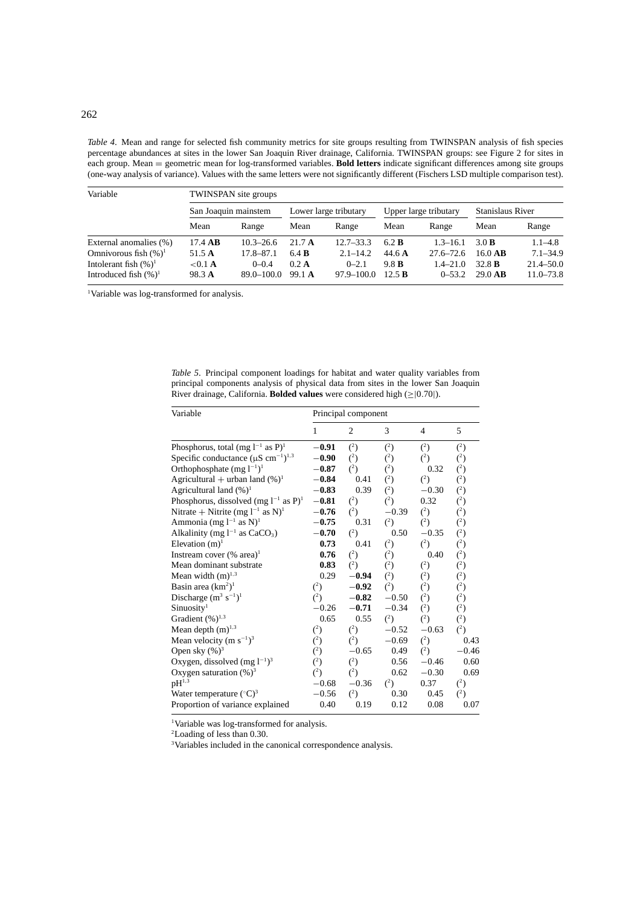| Table 4. Mean and range for selected fish community metrics for site groups resulting from TWINSPAN analysis of fish species            |
|-----------------------------------------------------------------------------------------------------------------------------------------|
| percentage abundances at sites in the lower San Joaquin River drainage, California. TWINSPAN groups: see Figure 2 for sites in          |
| each group. Mean = geometric mean for log-transformed variables. <b>Bold letters</b> indicate significant differences among site groups |
| (one-way analysis of variance). Values with the same letters were not significantly different (Fischers LSD multiple comparison test).  |
|                                                                                                                                         |

| Variable                 | TWINSPAN site groups |                |                       |                |                       |               |                  |               |  |
|--------------------------|----------------------|----------------|-----------------------|----------------|-----------------------|---------------|------------------|---------------|--|
|                          | San Joaquin mainstem |                | Lower large tributary |                | Upper large tributary |               | Stanislaus River |               |  |
|                          | Mean                 | Range          | Mean                  | Range          | Mean                  | Range         | Mean             | Range         |  |
| External anomalies (%)   | $17.4$ AB            | $10.3 - 26.6$  | 21.7A                 | $12.7 - 33.3$  | $6.2 \text{ B}$       | $1.3 - 16.1$  | 3.0 B            | $1.1 - 4.8$   |  |
| Omnivorous fish $(\%)^1$ | 51.5 A               | $17.8 - 87.1$  | 6.4 B                 | $2.1 - 14.2$   | 44.6 A                | $27.6 - 72.6$ | $16.0$ AB        | $7.1 - 34.9$  |  |
| Intolerant fish $(\%)^1$ | < 0.1 A              | $0 - 0.4$      | $0.2 \text{ A}$       | $0 - 2.1$      | 9.8 B                 | $1.4 - 21.0$  | 32.8 <b>B</b>    | $21.4 - 50.0$ |  |
| Introduced fish $(\%)^1$ | 98.3 A               | $89.0 - 100.0$ | 99.1 A                | $97.9 - 100.0$ | 12.5 B                | $0 - 53.2$    | $29.0$ AB        | $11.0 - 73.8$ |  |

1 Variable was log-transformed for analysis.

*Table 5*. Principal component loadings for habitat and water quality variables from principal components analysis of physical data from sites in the lower San Joaquin River drainage, California. **Bolded values** were considered high (≥|0.70|).

| Variable<br>Principal component                       |          |          |          |          |                     |
|-------------------------------------------------------|----------|----------|----------|----------|---------------------|
|                                                       | 1        | 2        | 3        | 4        | 5                   |
| Phosphorus, total (mg $l^{-1}$ as P) <sup>1</sup>     | $-0.91$  | $(^{2})$ | (2)      | $(^{2})$ | $(^{2})$            |
| Specific conductance $(\mu S \text{ cm}^{-1})^{1,3}$  | $-0.90$  | $(^{2})$ | $(^{2})$ | $(^{2})$ | $(^{2})$            |
| Orthophosphate $(mg l^{-1})^1$                        | $-0.87$  | $(^{2})$ | $(^{2})$ | 0.32     | $(^{2})$            |
| Agricultural + urban land $(\%)^1$                    | $-0.84$  | 0.41     | $(^{2})$ | $(^{2})$ | $(^{2})$            |
| Agricultural land $(\%)^1$                            | $-0.83$  | 0.39     | $(^{2})$ | $-0.30$  | $(^{2})$            |
| Phosphorus, dissolved (mg $l^{-1}$ as P) <sup>1</sup> | $-0.81$  | $(^{2})$ | $(^{2})$ | 0.32     | $(^{2})$            |
| Nitrate + Nitrite (mg $l^{-1}$ as N) <sup>1</sup>     | $-0.76$  | $(^{2})$ | $-0.39$  | $(^{2})$ | $(^{2})$            |
| Ammonia (mg $l^{-1}$ as N) <sup>1</sup>               | $-0.75$  | 0.31     | $(^{2})$ | $(^{2})$ | $(^{2})$            |
| Alkalinity (mg $l^{-1}$ as CaCO <sub>3</sub> )        | $-0.70$  | $(^{2})$ | 0.50     | $-0.35$  | $(^{2})$            |
| Elevation $(m)^1$                                     | 0.73     | 0.41     | $(^{2})$ | $(^{2})$ | $(^{2})$            |
| Instream cover (% area) <sup>1</sup>                  | 0.76     | $(^{2})$ | $(^{2})$ | 0.40     | $(^{2})$            |
| Mean dominant substrate                               | 0.83     | $(^{2})$ | $(^{2})$ | $(^{2})$ | $(^{2})$            |
| Mean width $(m)$ <sup>1,3</sup>                       | 0.29     | $-0.94$  | $(^{2})$ | $(^{2})$ | $(^{2})$            |
| Basin area $(km^2)^1$                                 | $(^{2})$ | $-0.92$  | $(^{2})$ | $(^{2})$ | $(^{2})$            |
| Discharge $(m^3 s^{-1})^1$                            | $(^{2})$ | $-0.82$  | $-0.50$  | $(^{2})$ | $^{\left(2\right)}$ |
| Sinuosity <sup>1</sup>                                | $-0.26$  | $-0.71$  | $-0.34$  | $(^{2})$ | $(^{2})$            |
| Gradient $(\%)^{1,3}$                                 | 0.65     | 0.55     | $(^{2})$ | $(^{2})$ | $(^{2})$            |
| Mean depth $(m)$ <sup>1,3</sup>                       | $(^{2})$ | $(^{2})$ | $-0.52$  | $-0.63$  | $(^{2})$            |
| Mean velocity $(m s^{-1})^3$                          | $(^{2})$ | $(^{2})$ | $-0.69$  | $(^{2})$ | 0.43                |
| Open sky $(\%)$ <sup>3</sup>                          | $(^{2})$ | $-0.65$  | 0.49     | $(^{2})$ | $-0.46$             |
| Oxygen, dissolved (mg $l^{-1}$ ) <sup>3</sup>         | $(^{2})$ | $(^{2})$ | 0.56     | $-0.46$  | 0.60                |
| Oxygen saturation $(\%)^3$                            | $(^{2})$ | $(^{2})$ | 0.62     | $-0.30$  | 0.69                |
| $pH^{1,3}$                                            | $-0.68$  | $-0.36$  | $(^{2})$ | 0.37     | $(^{2})$            |
| Water temperature $({}^{\circ}C)^3$                   | $-0.56$  | $(^{2})$ | 0.30     | 0.45     | $(^{2})$            |
| Proportion of variance explained                      | 0.40     | 0.19     | 0.12     | 0.08     | 0.07                |

1 Variable was log-transformed for analysis.

2 Loading of less than 0.30.

3 Variables included in the canonical correspondence analysis.

# 262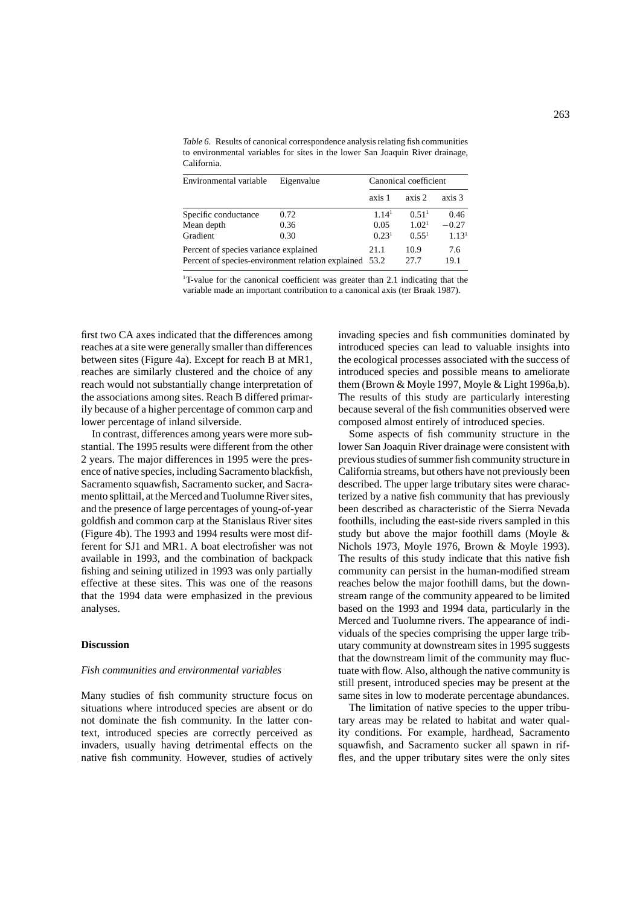*Table 6*. Results of canonical correspondence analysis relating fish communities to environmental variables for sites in the lower San Joaquin River drainage, California.

| Environmental variable                                                                          | Eigenvalue | Canonical coefficient |                   |                   |  |
|-------------------------------------------------------------------------------------------------|------------|-----------------------|-------------------|-------------------|--|
|                                                                                                 |            | axis 1                | axis 2            | axis 3            |  |
| Specific conductance                                                                            | 0.72       | 1.14 <sup>1</sup>     | 0.51 <sup>1</sup> | 0.46              |  |
| Mean depth                                                                                      | 0.36       | 0.05                  | 1.02 <sup>1</sup> | $-0.27$           |  |
| Gradient                                                                                        | 0.30       | 0.23 <sup>1</sup>     | 0.55 <sup>1</sup> | 1.13 <sup>1</sup> |  |
| Percent of species variance explained<br>Percent of species-environment relation explained 53.2 |            | 21.1                  | 10.9<br>27.7      | 7.6<br>19.1       |  |

<sup>1</sup>T-value for the canonical coefficient was greater than 2.1 indicating that the variable made an important contribution to a canonical axis (ter Braak 1987).

first two CA axes indicated that the differences among reaches at a site were generally smaller than differences between sites (Figure 4a). Except for reach B at MR1, reaches are similarly clustered and the choice of any reach would not substantially change interpretation of the associations among sites. Reach B differed primarily because of a higher percentage of common carp and lower percentage of inland silverside.

In contrast, differences among years were more substantial. The 1995 results were different from the other 2 years. The major differences in 1995 were the presence of native species, including Sacramento blackfish, Sacramento squawfish, Sacramento sucker, and Sacramento splittail, at the Merced and Tuolumne River sites, and the presence of large percentages of young-of-year goldfish and common carp at the Stanislaus River sites (Figure 4b). The 1993 and 1994 results were most different for SJ1 and MR1. A boat electrofisher was not available in 1993, and the combination of backpack fishing and seining utilized in 1993 was only partially effective at these sites. This was one of the reasons that the 1994 data were emphasized in the previous analyses.

## **Discussion**

## *Fish communities and environmental variables*

Many studies of fish community structure focus on situations where introduced species are absent or do not dominate the fish community. In the latter context, introduced species are correctly perceived as invaders, usually having detrimental effects on the native fish community. However, studies of actively invading species and fish communities dominated by introduced species can lead to valuable insights into the ecological processes associated with the success of introduced species and possible means to ameliorate them (Brown & Moyle 1997, Moyle & Light 1996a,b). The results of this study are particularly interesting because several of the fish communities observed were composed almost entirely of introduced species.

Some aspects of fish community structure in the lower San Joaquin River drainage were consistent with previous studies of summer fish community structure in California streams, but others have not previously been described. The upper large tributary sites were characterized by a native fish community that has previously been described as characteristic of the Sierra Nevada foothills, including the east-side rivers sampled in this study but above the major foothill dams (Moyle & Nichols 1973, Moyle 1976, Brown & Moyle 1993). The results of this study indicate that this native fish community can persist in the human-modified stream reaches below the major foothill dams, but the downstream range of the community appeared to be limited based on the 1993 and 1994 data, particularly in the Merced and Tuolumne rivers. The appearance of individuals of the species comprising the upper large tributary community at downstream sites in 1995 suggests that the downstream limit of the community may fluctuate with flow. Also, although the native community is still present, introduced species may be present at the same sites in low to moderate percentage abundances.

The limitation of native species to the upper tributary areas may be related to habitat and water quality conditions. For example, hardhead, Sacramento squawfish, and Sacramento sucker all spawn in riffles, and the upper tributary sites were the only sites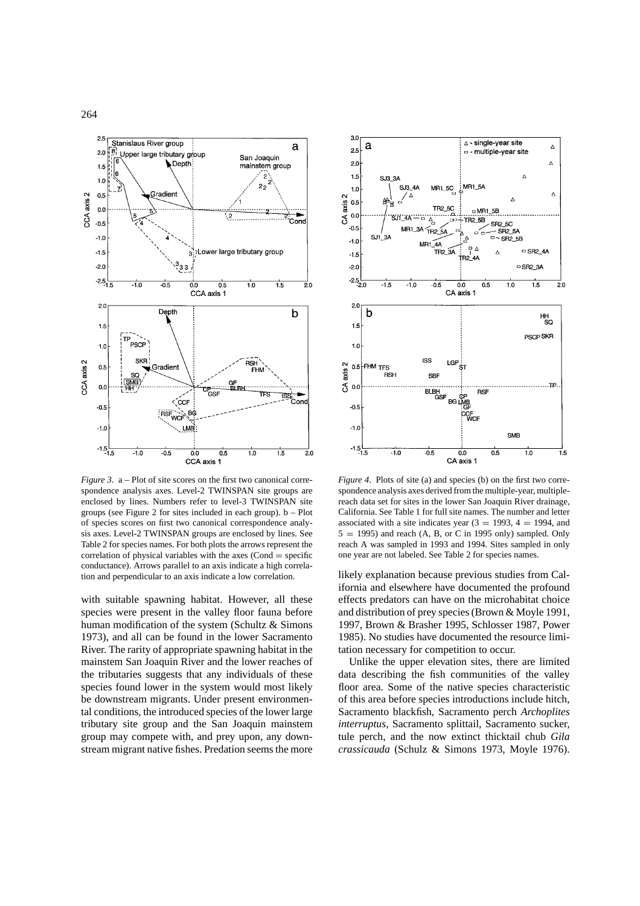

*Figure 3*. a – Plot of site scores on the first two canonical correspondence analysis axes. Level-2 TWINSPAN site groups are enclosed by lines. Numbers refer to level-3 TWINSPAN site groups (see Figure 2 for sites included in each group). b – Plot of species scores on first two canonical correspondence analysis axes. Level-2 TWINSPAN groups are enclosed by lines. See Table 2 for species names. For both plots the arrows represent the correlation of physical variables with the axes  $(Cond = specific$ conductance). Arrows parallel to an axis indicate a high correlation and perpendicular to an axis indicate a low correlation.

with suitable spawning habitat. However, all these species were present in the valley floor fauna before human modification of the system (Schultz & Simons 1973), and all can be found in the lower Sacramento River. The rarity of appropriate spawning habitat in the mainstem San Joaquin River and the lower reaches of the tributaries suggests that any individuals of these species found lower in the system would most likely be downstream migrants. Under present environmental conditions, the introduced species of the lower large tributary site group and the San Joaquin mainstem group may compete with, and prey upon, any downstream migrant native fishes. Predation seems the more



*Figure 4*. Plots of site (a) and species (b) on the first two correspondence analysis axes derived from the multiple-year, multiplereach data set for sites in the lower San Joaquin River drainage, California. See Table 1 for full site names. The number and letter associated with a site indicates year  $(3 = 1993, 4 = 1994,$  and  $5 = 1995$ ) and reach (A, B, or C in 1995 only) sampled. Only reach A was sampled in 1993 and 1994. Sites sampled in only one year are not labeled. See Table 2 for species names.

likely explanation because previous studies from California and elsewhere have documented the profound effects predators can have on the microhabitat choice and distribution of prey species (Brown & Moyle 1991, 1997, Brown & Brasher 1995, Schlosser 1987, Power 1985). No studies have documented the resource limitation necessary for competition to occur.

Unlike the upper elevation sites, there are limited data describing the fish communities of the valley floor area. Some of the native species characteristic of this area before species introductions include hitch, Sacramento blackfish, Sacramento perch *Archoplites interruptus*, Sacramento splittail, Sacramento sucker, tule perch, and the now extinct thicktail chub *Gila crassicauda* (Schulz & Simons 1973, Moyle 1976).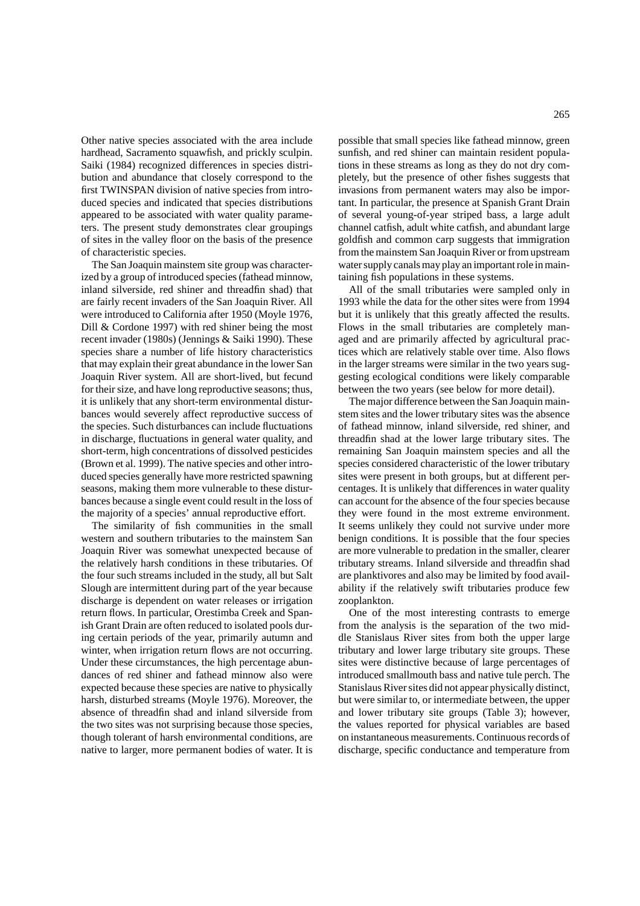Other native species associated with the area include hardhead, Sacramento squawfish, and prickly sculpin. Saiki (1984) recognized differences in species distribution and abundance that closely correspond to the first TWINSPAN division of native species from introduced species and indicated that species distributions appeared to be associated with water quality parameters. The present study demonstrates clear groupings of sites in the valley floor on the basis of the presence of characteristic species.

The San Joaquin mainstem site group was characterized by a group of introduced species (fathead minnow, inland silverside, red shiner and threadfin shad) that are fairly recent invaders of the San Joaquin River. All were introduced to California after 1950 (Moyle 1976, Dill & Cordone 1997) with red shiner being the most recent invader (1980s) (Jennings & Saiki 1990). These species share a number of life history characteristics that may explain their great abundance in the lower San Joaquin River system. All are short-lived, but fecund for their size, and have long reproductive seasons; thus, it is unlikely that any short-term environmental disturbances would severely affect reproductive success of the species. Such disturbances can include fluctuations in discharge, fluctuations in general water quality, and short-term, high concentrations of dissolved pesticides (Brown et al. 1999). The native species and other introduced species generally have more restricted spawning seasons, making them more vulnerable to these disturbances because a single event could result in the loss of the majority of a species' annual reproductive effort.

The similarity of fish communities in the small western and southern tributaries to the mainstem San Joaquin River was somewhat unexpected because of the relatively harsh conditions in these tributaries. Of the four such streams included in the study, all but Salt Slough are intermittent during part of the year because discharge is dependent on water releases or irrigation return flows. In particular, Orestimba Creek and Spanish Grant Drain are often reduced to isolated pools during certain periods of the year, primarily autumn and winter, when irrigation return flows are not occurring. Under these circumstances, the high percentage abundances of red shiner and fathead minnow also were expected because these species are native to physically harsh, disturbed streams (Moyle 1976). Moreover, the absence of threadfin shad and inland silverside from the two sites was not surprising because those species, though tolerant of harsh environmental conditions, are native to larger, more permanent bodies of water. It is

possible that small species like fathead minnow, green sunfish, and red shiner can maintain resident populations in these streams as long as they do not dry completely, but the presence of other fishes suggests that invasions from permanent waters may also be important. In particular, the presence at Spanish Grant Drain of several young-of-year striped bass, a large adult channel catfish, adult white catfish, and abundant large goldfish and common carp suggests that immigration from the mainstem San Joaquin River or from upstream water supply canals may play an important role in maintaining fish populations in these systems.

All of the small tributaries were sampled only in 1993 while the data for the other sites were from 1994 but it is unlikely that this greatly affected the results. Flows in the small tributaries are completely managed and are primarily affected by agricultural practices which are relatively stable over time. Also flows in the larger streams were similar in the two years suggesting ecological conditions were likely comparable between the two years (see below for more detail).

The major difference between the San Joaquin mainstem sites and the lower tributary sites was the absence of fathead minnow, inland silverside, red shiner, and threadfin shad at the lower large tributary sites. The remaining San Joaquin mainstem species and all the species considered characteristic of the lower tributary sites were present in both groups, but at different percentages. It is unlikely that differences in water quality can account for the absence of the four species because they were found in the most extreme environment. It seems unlikely they could not survive under more benign conditions. It is possible that the four species are more vulnerable to predation in the smaller, clearer tributary streams. Inland silverside and threadfin shad are planktivores and also may be limited by food availability if the relatively swift tributaries produce few zooplankton.

One of the most interesting contrasts to emerge from the analysis is the separation of the two middle Stanislaus River sites from both the upper large tributary and lower large tributary site groups. These sites were distinctive because of large percentages of introduced smallmouth bass and native tule perch. The Stanislaus River sites did not appear physically distinct, but were similar to, or intermediate between, the upper and lower tributary site groups (Table 3); however, the values reported for physical variables are based on instantaneous measurements. Continuous records of discharge, specific conductance and temperature from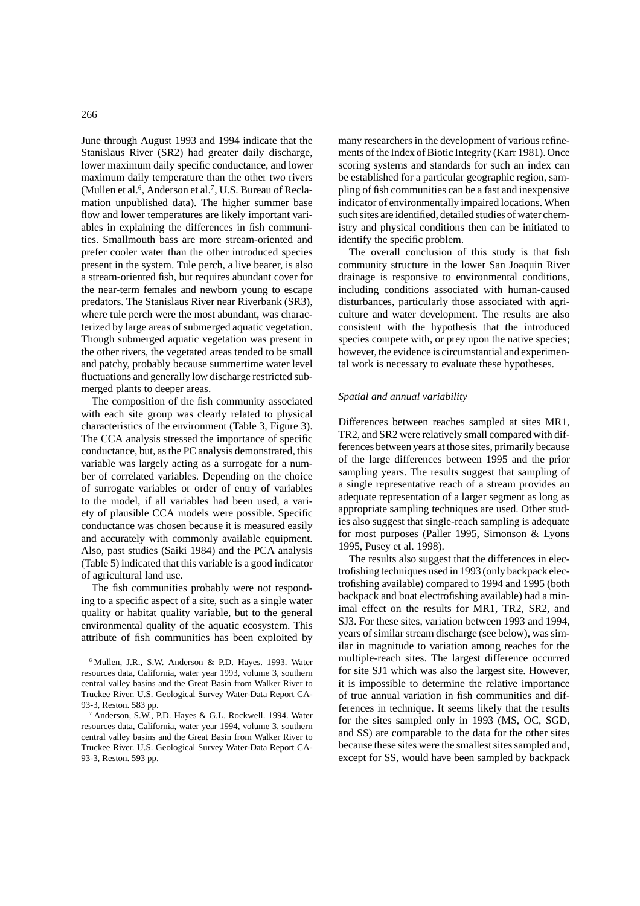June through August 1993 and 1994 indicate that the Stanislaus River (SR2) had greater daily discharge, lower maximum daily specific conductance, and lower maximum daily temperature than the other two rivers (Mullen et al.<sup>6</sup>, Anderson et al.<sup>7</sup>, U.S. Bureau of Reclamation unpublished data). The higher summer base flow and lower temperatures are likely important variables in explaining the differences in fish communities. Smallmouth bass are more stream-oriented and prefer cooler water than the other introduced species present in the system. Tule perch, a live bearer, is also a stream-oriented fish, but requires abundant cover for the near-term females and newborn young to escape predators. The Stanislaus River near Riverbank (SR3), where tule perch were the most abundant, was characterized by large areas of submerged aquatic vegetation. Though submerged aquatic vegetation was present in the other rivers, the vegetated areas tended to be small and patchy, probably because summertime water level fluctuations and generally low discharge restricted submerged plants to deeper areas.

The composition of the fish community associated with each site group was clearly related to physical characteristics of the environment (Table 3, Figure 3). The CCA analysis stressed the importance of specific conductance, but, as the PC analysis demonstrated, this variable was largely acting as a surrogate for a number of correlated variables. Depending on the choice of surrogate variables or order of entry of variables to the model, if all variables had been used, a variety of plausible CCA models were possible. Specific conductance was chosen because it is measured easily and accurately with commonly available equipment. Also, past studies (Saiki 1984) and the PCA analysis (Table 5) indicated that this variable is a good indicator of agricultural land use.

The fish communities probably were not responding to a specific aspect of a site, such as a single water quality or habitat quality variable, but to the general environmental quality of the aquatic ecosystem. This attribute of fish communities has been exploited by many researchers in the development of various refinements of the Index of Biotic Integrity (Karr 1981). Once scoring systems and standards for such an index can be established for a particular geographic region, sampling of fish communities can be a fast and inexpensive indicator of environmentally impaired locations. When such sites are identified, detailed studies of water chemistry and physical conditions then can be initiated to identify the specific problem.

The overall conclusion of this study is that fish community structure in the lower San Joaquin River drainage is responsive to environmental conditions, including conditions associated with human-caused disturbances, particularly those associated with agriculture and water development. The results are also consistent with the hypothesis that the introduced species compete with, or prey upon the native species; however, the evidence is circumstantial and experimental work is necessary to evaluate these hypotheses.

## *Spatial and annual variability*

Differences between reaches sampled at sites MR1, TR2, and SR2 were relatively small compared with differences between years at those sites, primarily because of the large differences between 1995 and the prior sampling years. The results suggest that sampling of a single representative reach of a stream provides an adequate representation of a larger segment as long as appropriate sampling techniques are used. Other studies also suggest that single-reach sampling is adequate for most purposes (Paller 1995, Simonson & Lyons 1995, Pusey et al. 1998).

The results also suggest that the differences in electrofishing techniques used in 1993 (only backpack electrofishing available) compared to 1994 and 1995 (both backpack and boat electrofishing available) had a minimal effect on the results for MR1, TR2, SR2, and SJ3. For these sites, variation between 1993 and 1994, years of similar stream discharge (see below), was similar in magnitude to variation among reaches for the multiple-reach sites. The largest difference occurred for site SJ1 which was also the largest site. However, it is impossible to determine the relative importance of true annual variation in fish communities and differences in technique. It seems likely that the results for the sites sampled only in 1993 (MS, OC, SGD, and SS) are comparable to the data for the other sites because these sites were the smallest sites sampled and, except for SS, would have been sampled by backpack

<sup>6</sup> Mullen, J.R., S.W. Anderson & P.D. Hayes. 1993. Water resources data, California, water year 1993, volume 3, southern central valley basins and the Great Basin from Walker River to Truckee River. U.S. Geological Survey Water-Data Report CA-93-3, Reston. 583 pp.

Anderson, S.W., P.D. Hayes & G.L. Rockwell. 1994. Water resources data, California, water year 1994, volume 3, southern central valley basins and the Great Basin from Walker River to Truckee River. U.S. Geological Survey Water-Data Report CA-93-3, Reston. 593 pp.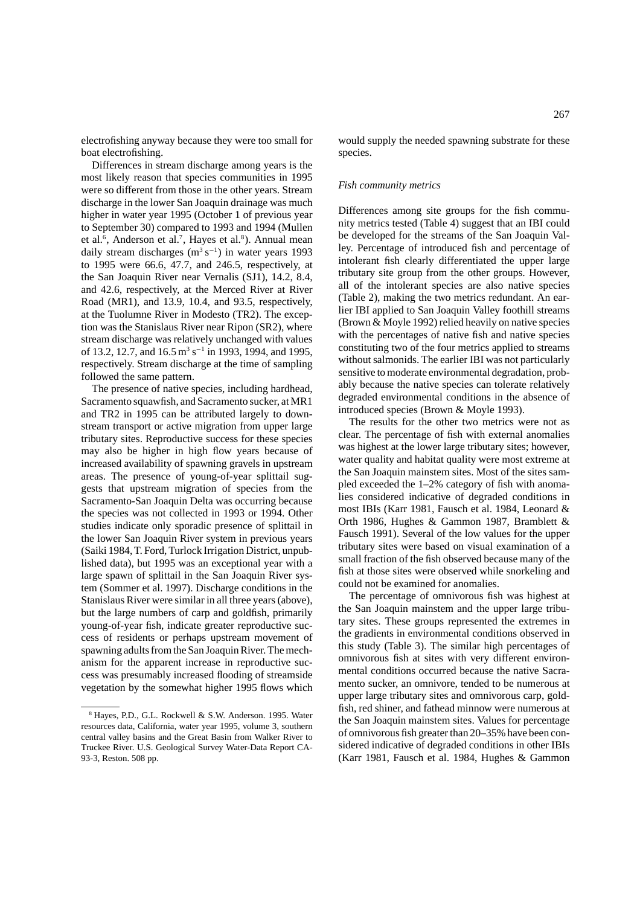electrofishing anyway because they were too small for boat electrofishing.

Differences in stream discharge among years is the most likely reason that species communities in 1995 were so different from those in the other years. Stream discharge in the lower San Joaquin drainage was much higher in water year 1995 (October 1 of previous year to September 30) compared to 1993 and 1994 (Mullen et al.<sup>6</sup>, Anderson et al.<sup>7</sup>, Hayes et al.<sup>8</sup>). Annual mean daily stream discharges  $(m<sup>3</sup> s<sup>-1</sup>)$  in water years 1993 to 1995 were 66.6, 47.7, and 246.5, respectively, at the San Joaquin River near Vernalis (SJ1), 14.2, 8.4, and 42.6, respectively, at the Merced River at River Road (MR1), and 13.9, 10.4, and 93.5, respectively, at the Tuolumne River in Modesto (TR2). The exception was the Stanislaus River near Ripon (SR2), where stream discharge was relatively unchanged with values of 13.2, 12.7, and 16.5 m<sup>3</sup> s<sup>-1</sup> in 1993, 1994, and 1995, respectively. Stream discharge at the time of sampling followed the same pattern.

The presence of native species, including hardhead, Sacramento squawfish, and Sacramento sucker, at MR1 and TR2 in 1995 can be attributed largely to downstream transport or active migration from upper large tributary sites. Reproductive success for these species may also be higher in high flow years because of increased availability of spawning gravels in upstream areas. The presence of young-of-year splittail suggests that upstream migration of species from the Sacramento-San Joaquin Delta was occurring because the species was not collected in 1993 or 1994. Other studies indicate only sporadic presence of splittail in the lower San Joaquin River system in previous years (Saiki 1984, T. Ford, Turlock Irrigation District, unpublished data), but 1995 was an exceptional year with a large spawn of splittail in the San Joaquin River system (Sommer et al. 1997). Discharge conditions in the Stanislaus River were similar in all three years (above), but the large numbers of carp and goldfish, primarily young-of-year fish, indicate greater reproductive success of residents or perhaps upstream movement of spawning adults from the San Joaquin River. The mechanism for the apparent increase in reproductive success was presumably increased flooding of streamside vegetation by the somewhat higher 1995 flows which

would supply the needed spawning substrate for these species.

## *Fish community metrics*

Differences among site groups for the fish community metrics tested (Table 4) suggest that an IBI could be developed for the streams of the San Joaquin Valley. Percentage of introduced fish and percentage of intolerant fish clearly differentiated the upper large tributary site group from the other groups. However, all of the intolerant species are also native species (Table 2), making the two metrics redundant. An earlier IBI applied to San Joaquin Valley foothill streams (Brown & Moyle 1992) relied heavily on native species with the percentages of native fish and native species constituting two of the four metrics applied to streams without salmonids. The earlier IBI was not particularly sensitive to moderate environmental degradation, probably because the native species can tolerate relatively degraded environmental conditions in the absence of introduced species (Brown & Moyle 1993).

The results for the other two metrics were not as clear. The percentage of fish with external anomalies was highest at the lower large tributary sites; however, water quality and habitat quality were most extreme at the San Joaquin mainstem sites. Most of the sites sampled exceeded the 1–2% category of fish with anomalies considered indicative of degraded conditions in most IBIs (Karr 1981, Fausch et al. 1984, Leonard & Orth 1986, Hughes & Gammon 1987, Bramblett & Fausch 1991). Several of the low values for the upper tributary sites were based on visual examination of a small fraction of the fish observed because many of the fish at those sites were observed while snorkeling and could not be examined for anomalies.

The percentage of omnivorous fish was highest at the San Joaquin mainstem and the upper large tributary sites. These groups represented the extremes in the gradients in environmental conditions observed in this study (Table 3). The similar high percentages of omnivorous fish at sites with very different environmental conditions occurred because the native Sacramento sucker, an omnivore, tended to be numerous at upper large tributary sites and omnivorous carp, goldfish, red shiner, and fathead minnow were numerous at the San Joaquin mainstem sites. Values for percentage of omnivorous fish greater than 20–35% have been considered indicative of degraded conditions in other IBIs (Karr 1981, Fausch et al. 1984, Hughes & Gammon

<sup>8</sup> Hayes, P.D., G.L. Rockwell & S.W. Anderson. 1995. Water resources data, California, water year 1995, volume 3, southern central valley basins and the Great Basin from Walker River to Truckee River. U.S. Geological Survey Water-Data Report CA-93-3, Reston. 508 pp.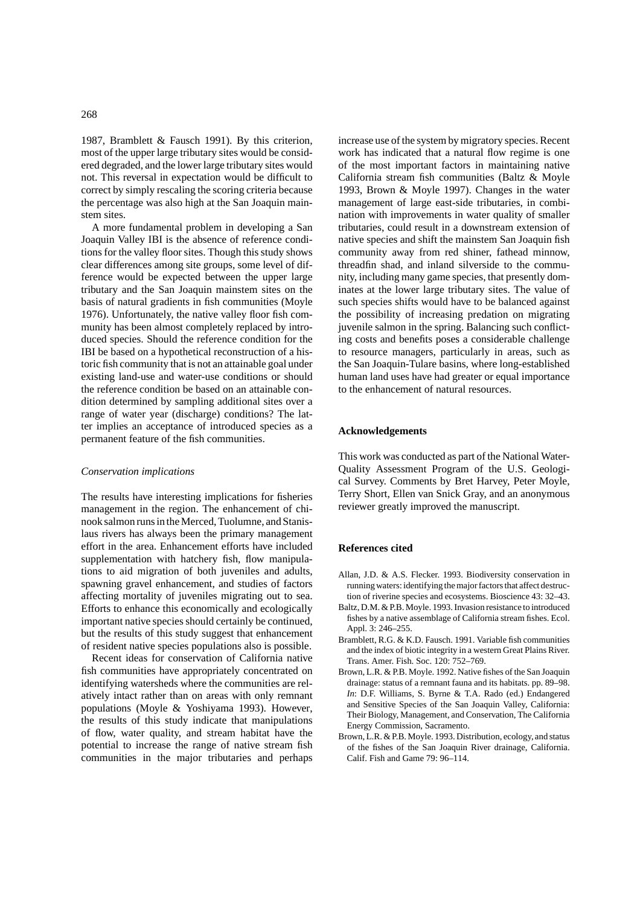1987, Bramblett & Fausch 1991). By this criterion, most of the upper large tributary sites would be considered degraded, and the lower large tributary sites would not. This reversal in expectation would be difficult to correct by simply rescaling the scoring criteria because the percentage was also high at the San Joaquin mainstem sites.

A more fundamental problem in developing a San Joaquin Valley IBI is the absence of reference conditions for the valley floor sites. Though this study shows clear differences among site groups, some level of difference would be expected between the upper large tributary and the San Joaquin mainstem sites on the basis of natural gradients in fish communities (Moyle 1976). Unfortunately, the native valley floor fish community has been almost completely replaced by introduced species. Should the reference condition for the IBI be based on a hypothetical reconstruction of a historic fish community that is not an attainable goal under existing land-use and water-use conditions or should the reference condition be based on an attainable condition determined by sampling additional sites over a range of water year (discharge) conditions? The latter implies an acceptance of introduced species as a permanent feature of the fish communities.

## *Conservation implications*

The results have interesting implications for fisheries management in the region. The enhancement of chinook salmon runs in the Merced, Tuolumne, and Stanislaus rivers has always been the primary management effort in the area. Enhancement efforts have included supplementation with hatchery fish, flow manipulations to aid migration of both juveniles and adults, spawning gravel enhancement, and studies of factors affecting mortality of juveniles migrating out to sea. Efforts to enhance this economically and ecologically important native species should certainly be continued, but the results of this study suggest that enhancement of resident native species populations also is possible.

Recent ideas for conservation of California native fish communities have appropriately concentrated on identifying watersheds where the communities are relatively intact rather than on areas with only remnant populations (Moyle & Yoshiyama 1993). However, the results of this study indicate that manipulations of flow, water quality, and stream habitat have the potential to increase the range of native stream fish communities in the major tributaries and perhaps

increase use of the system by migratory species. Recent work has indicated that a natural flow regime is one of the most important factors in maintaining native California stream fish communities (Baltz & Moyle 1993, Brown & Moyle 1997). Changes in the water management of large east-side tributaries, in combination with improvements in water quality of smaller tributaries, could result in a downstream extension of native species and shift the mainstem San Joaquin fish community away from red shiner, fathead minnow, threadfin shad, and inland silverside to the community, including many game species, that presently dominates at the lower large tributary sites. The value of such species shifts would have to be balanced against the possibility of increasing predation on migrating juvenile salmon in the spring. Balancing such conflicting costs and benefits poses a considerable challenge to resource managers, particularly in areas, such as the San Joaquin-Tulare basins, where long-established human land uses have had greater or equal importance to the enhancement of natural resources.

#### **Acknowledgements**

This work was conducted as part of the National Water-Quality Assessment Program of the U.S. Geological Survey. Comments by Bret Harvey, Peter Moyle, Terry Short, Ellen van Snick Gray, and an anonymous reviewer greatly improved the manuscript.

#### **References cited**

- Allan, J.D. & A.S. Flecker. 1993. Biodiversity conservation in running waters: identifying the major factors that affect destruction of riverine species and ecosystems. Bioscience 43: 32–43.
- Baltz, D.M. & P.B. Moyle. 1993. Invasion resistance to introduced fishes by a native assemblage of California stream fishes. Ecol. Appl. 3: 246–255.
- Bramblett, R.G. & K.D. Fausch. 1991. Variable fish communities and the index of biotic integrity in a western Great Plains River. Trans. Amer. Fish. Soc. 120: 752–769.
- Brown, L.R. & P.B. Moyle. 1992. Native fishes of the San Joaquin drainage: status of a remnant fauna and its habitats. pp. 89–98. *In*: D.F. Williams, S. Byrne & T.A. Rado (ed.) Endangered and Sensitive Species of the San Joaquin Valley, California: Their Biology, Management, and Conservation, The California Energy Commission, Sacramento.
- Brown, L.R. & P.B. Moyle. 1993. Distribution, ecology, and status of the fishes of the San Joaquin River drainage, California. Calif. Fish and Game 79: 96–114.